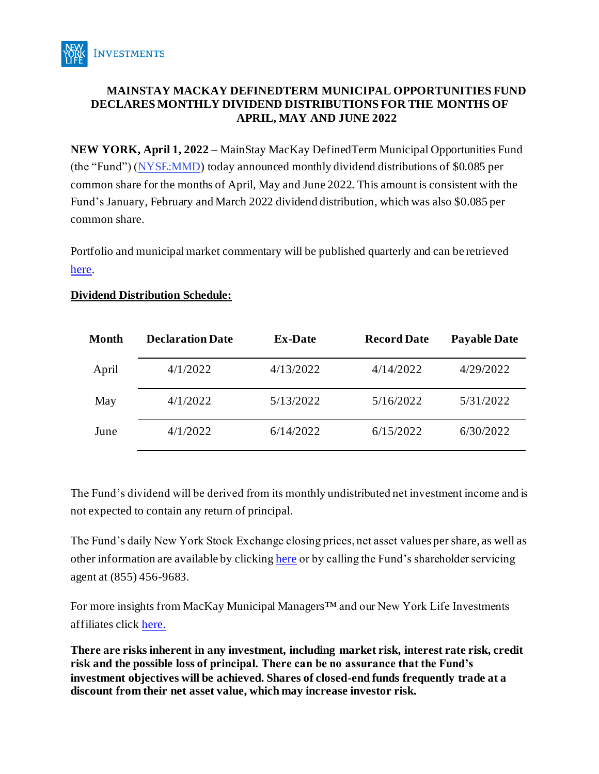

# **MAINSTAY MACKAY DEFINEDTERM MUNICIPAL OPPORTUNITIES FUND DECLARES MONTHLY DIVIDEND DISTRIBUTIONS FOR THE MONTHS OF APRIL, MAY AND JUNE 2022**

**NEW YORK, April 1, 2022** – MainStay MacKay DefinedTerm Municipal Opportunities Fund (the "Fund") [\(NYSE:MMD\)](http://finance.yahoo.com/q?s=mmd) today announced monthly dividend distributions of \$0.085 per common share for the months of April, May and June 2022. This amount is consistent with the Fund's January, February and March 2022 dividend distribution, which was also \$0.085 per common share.

Portfolio and municipal market commentary will be published quarterly and can be retrieved [here.](http://www.newyorklifeinvestments.com/mmd)

## **Dividend Distribution Schedule:**

| Month | <b>Declaration Date</b> | <b>Ex-Date</b> | <b>Record Date</b> | <b>Payable Date</b> |
|-------|-------------------------|----------------|--------------------|---------------------|
| April | 4/1/2022                | 4/13/2022      | 4/14/2022          | 4/29/2022           |
| May   | 4/1/2022                | 5/13/2022      | 5/16/2022          | 5/31/2022           |
| June  | 4/1/2022                | 6/14/2022      | 6/15/2022          | 6/30/2022           |

The Fund's dividend will be derived from its monthly undistributed net investment income and is not expected to contain any return of principal.

The Fund's daily New York Stock Exchange closing prices, net asset values per share, as well as other information are available by clickin[g here](http://www.newyorklifeinvestments.com/mmd) or by calling the Fund's shareholder servicing agent at (855) 456-9683.

For more insights from MacKay Municipal Managers™ and our New York Life Investments affiliates click [here.](https://www.newyorklifeinvestments.com/insights)

**There are risks inherent in any investment, including market risk, interest rate risk, credit risk and the possible loss of principal. There can be no assurance that the Fund's investment objectives will be achieved. Shares of closed-end funds frequently trade at a discount from their net asset value, which may increase investor risk.**